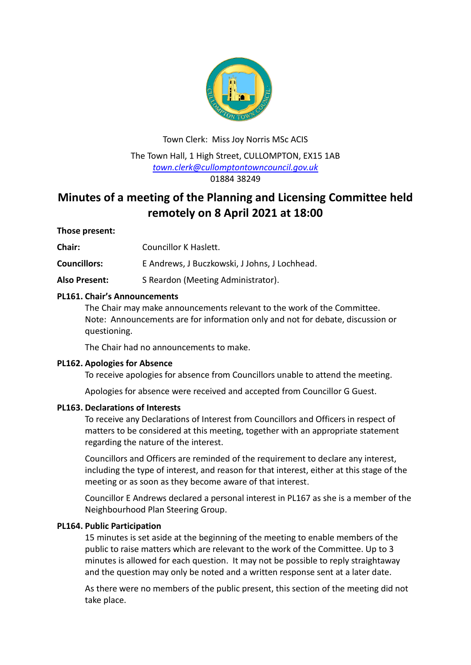

Town Clerk: Miss Joy Norris MSc ACIS The Town Hall, 1 High Street, CULLOMPTON, EX15 1AB *[town.clerk@cullomptontowncouncil.gov.uk](mailto:town.clerk@cullomptontowncouncil.gov.uk)* 01884 38249

# **Minutes of a meeting of the Planning and Licensing Committee held remotely on 8 April 2021 at 18:00**

## **Those present:**

**Chair:** Councillor K Haslett.

**Councillors:** E Andrews, J Buczkowski, J Johns, J Lochhead.

Also Present: S Reardon (Meeting Administrator).

## **PL161. Chair's Announcements**

The Chair may make announcements relevant to the work of the Committee. Note: Announcements are for information only and not for debate, discussion or questioning.

The Chair had no announcements to make.

## **PL162. Apologies for Absence**

To receive apologies for absence from Councillors unable to attend the meeting.

Apologies for absence were received and accepted from Councillor G Guest.

## **PL163. Declarations of Interests**

To receive any Declarations of Interest from Councillors and Officers in respect of matters to be considered at this meeting, together with an appropriate statement regarding the nature of the interest.

Councillors and Officers are reminded of the requirement to declare any interest, including the type of interest, and reason for that interest, either at this stage of the meeting or as soon as they become aware of that interest.

Councillor E Andrews declared a personal interest in PL167 as she is a member of the Neighbourhood Plan Steering Group.

## **PL164. Public Participation**

15 minutes is set aside at the beginning of the meeting to enable members of the public to raise matters which are relevant to the work of the Committee. Up to 3 minutes is allowed for each question. It may not be possible to reply straightaway and the question may only be noted and a written response sent at a later date.

As there were no members of the public present, this section of the meeting did not take place.